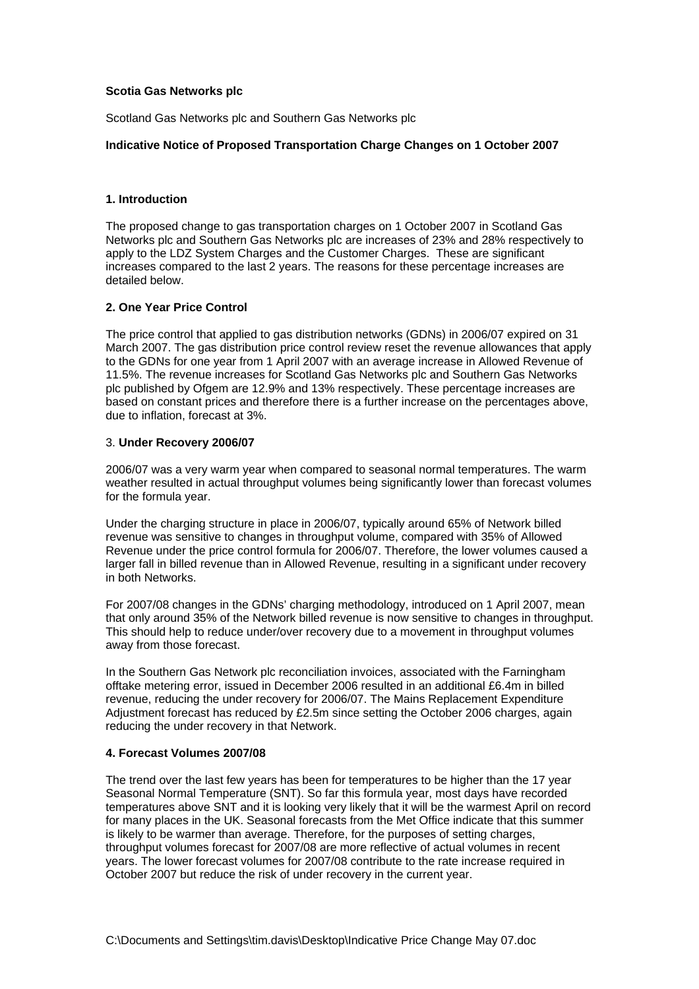## **Scotia Gas Networks plc**

Scotland Gas Networks plc and Southern Gas Networks plc

#### **Indicative Notice of Proposed Transportation Charge Changes on 1 October 2007**

## **1. Introduction**

The proposed change to gas transportation charges on 1 October 2007 in Scotland Gas Networks plc and Southern Gas Networks plc are increases of 23% and 28% respectively to apply to the LDZ System Charges and the Customer Charges. These are significant increases compared to the last 2 years. The reasons for these percentage increases are detailed below.

### **2. One Year Price Control**

The price control that applied to gas distribution networks (GDNs) in 2006/07 expired on 31 March 2007. The gas distribution price control review reset the revenue allowances that apply to the GDNs for one year from 1 April 2007 with an average increase in Allowed Revenue of 11.5%. The revenue increases for Scotland Gas Networks plc and Southern Gas Networks plc published by Ofgem are 12.9% and 13% respectively. These percentage increases are based on constant prices and therefore there is a further increase on the percentages above, due to inflation, forecast at 3%.

#### 3. **Under Recovery 2006/07**

2006/07 was a very warm year when compared to seasonal normal temperatures. The warm weather resulted in actual throughput volumes being significantly lower than forecast volumes for the formula year.

Under the charging structure in place in 2006/07, typically around 65% of Network billed revenue was sensitive to changes in throughput volume, compared with 35% of Allowed Revenue under the price control formula for 2006/07. Therefore, the lower volumes caused a larger fall in billed revenue than in Allowed Revenue, resulting in a significant under recovery in both Networks.

For 2007/08 changes in the GDNs' charging methodology, introduced on 1 April 2007, mean that only around 35% of the Network billed revenue is now sensitive to changes in throughput. This should help to reduce under/over recovery due to a movement in throughput volumes away from those forecast.

In the Southern Gas Network plc reconciliation invoices, associated with the Farningham offtake metering error, issued in December 2006 resulted in an additional £6.4m in billed revenue, reducing the under recovery for 2006/07. The Mains Replacement Expenditure Adjustment forecast has reduced by £2.5m since setting the October 2006 charges, again reducing the under recovery in that Network.

### **4. Forecast Volumes 2007/08**

The trend over the last few years has been for temperatures to be higher than the 17 year Seasonal Normal Temperature (SNT). So far this formula year, most days have recorded temperatures above SNT and it is looking very likely that it will be the warmest April on record for many places in the UK. Seasonal forecasts from the Met Office indicate that this summer is likely to be warmer than average. Therefore, for the purposes of setting charges, throughput volumes forecast for 2007/08 are more reflective of actual volumes in recent years. The lower forecast volumes for 2007/08 contribute to the rate increase required in October 2007 but reduce the risk of under recovery in the current year.